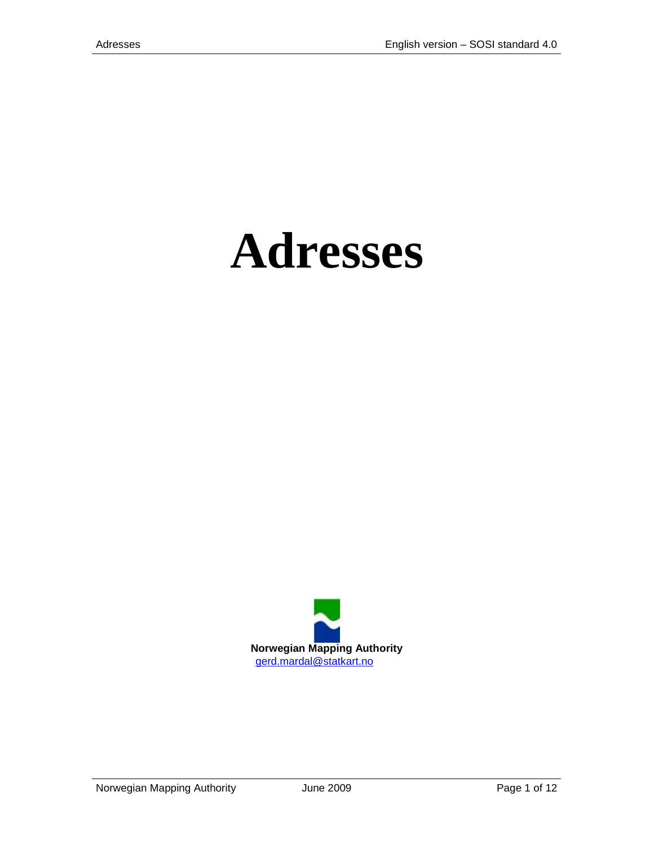# **Adresses**



Norwegian Mapping Authority **State State 3 June 2009** Page 1 of 12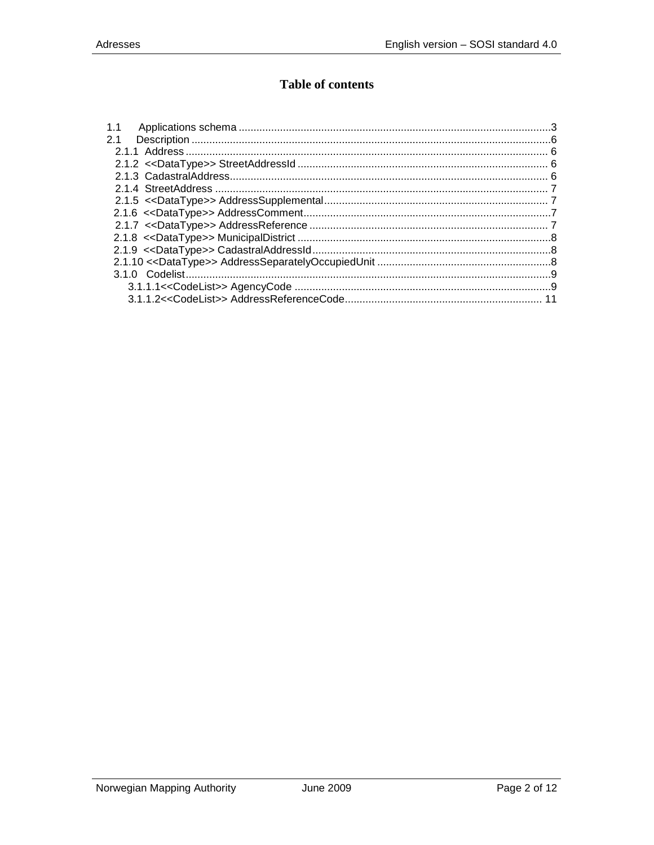## **Table of contents**

| 1.1 |  |
|-----|--|
| 2.1 |  |
|     |  |
|     |  |
|     |  |
|     |  |
|     |  |
|     |  |
|     |  |
|     |  |
|     |  |
|     |  |
|     |  |
|     |  |
|     |  |
|     |  |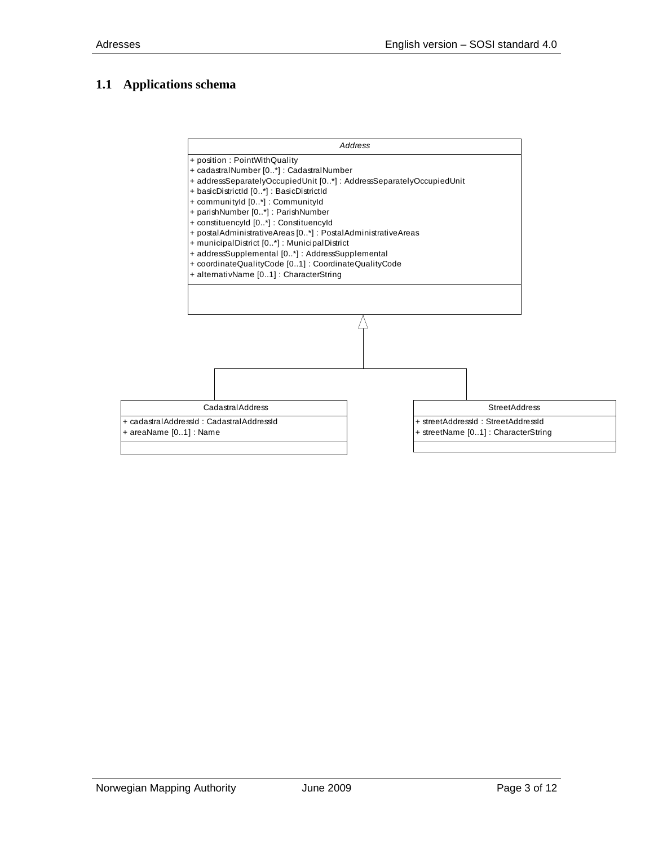### <span id="page-2-0"></span>**1.1 Applications schema**

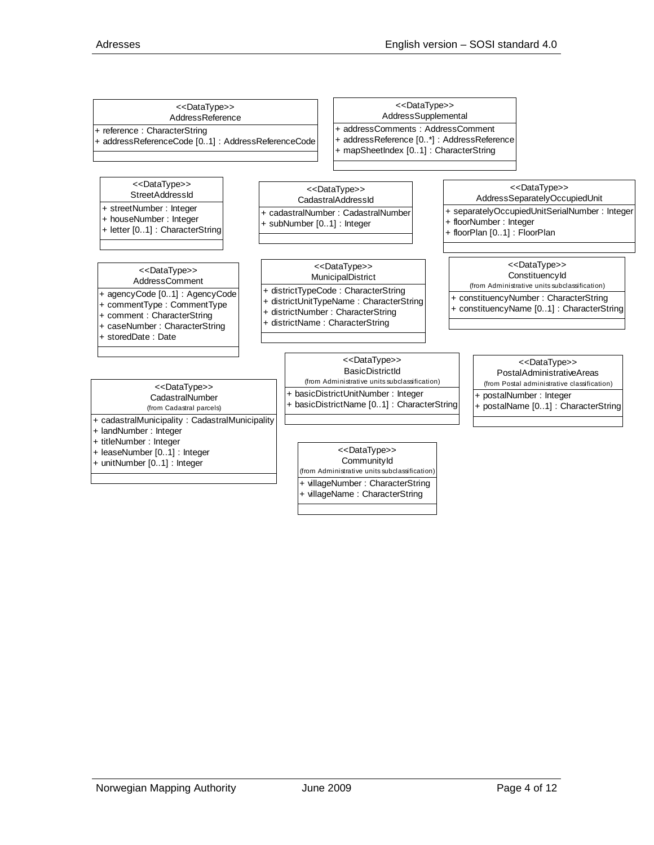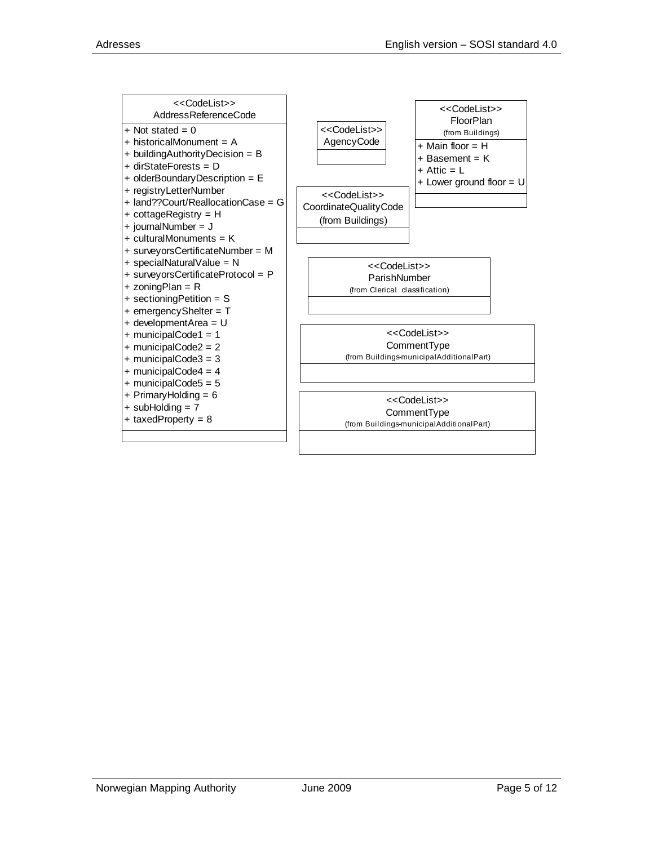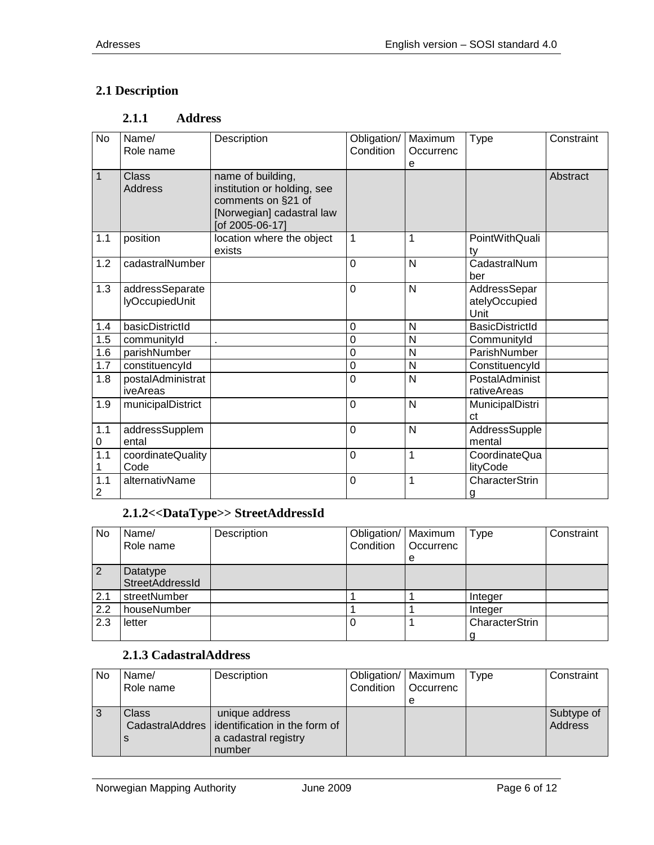## <span id="page-5-1"></span><span id="page-5-0"></span>**2.1 Description**

#### **2.1.1 Address**

| <b>No</b>             | Name/<br>Role name                | Description                                                                                                            | Obligation/<br>Condition | Maximum<br>Occurrenc | <b>Type</b>                           | Constraint |
|-----------------------|-----------------------------------|------------------------------------------------------------------------------------------------------------------------|--------------------------|----------------------|---------------------------------------|------------|
| $\mathbf{1}$          | Class<br><b>Address</b>           | name of building,<br>institution or holding, see<br>comments on §21 of<br>[Norwegian] cadastral law<br>[of 2005-06-17] |                          | е                    |                                       | Abstract   |
| 1.1                   | position                          | location where the object<br>exists                                                                                    | 1                        | 1                    | PointWithQuali<br>ty                  |            |
| 1.2                   | cadastralNumber                   |                                                                                                                        | $\Omega$                 | N                    | CadastralNum<br>ber                   |            |
| 1.3                   | addressSeparate<br>lyOccupiedUnit |                                                                                                                        | $\mathbf 0$              | N                    | AddressSepar<br>atelyOccupied<br>Unit |            |
| 1.4                   | basicDistrictId                   |                                                                                                                        | $\mathbf 0$              | N                    | <b>BasicDistrictId</b>                |            |
| 1.5                   | communityId                       |                                                                                                                        | 0                        | N                    | CommunityId                           |            |
| 1.6                   | parishNumber                      |                                                                                                                        | $\pmb{0}$                | N                    | ParishNumber                          |            |
| 1.7                   | constituencyId                    |                                                                                                                        | $\mathbf 0$              | N                    | ConstituencyId                        |            |
| 1.8                   | postalAdministrat<br>iveAreas     |                                                                                                                        | 0                        | $\overline{N}$       | PostalAdminist<br>rativeAreas         |            |
| 1.9                   | municipalDistrict                 |                                                                                                                        | $\mathbf 0$              | N                    | MunicipalDistri<br>ct                 |            |
| 1.1<br>0              | addressSupplem<br>ental           |                                                                                                                        | $\mathbf 0$              | N                    | AddressSupple<br>mental               |            |
| 1.1<br>1              | coordinateQuality<br>Code         |                                                                                                                        | $\mathbf 0$              | 1                    | CoordinateQua<br>lityCode             |            |
| 1.1<br>$\overline{2}$ | alternativName                    |                                                                                                                        | $\mathbf 0$              | 1                    | CharacterStrin<br>g                   |            |

# **2.1.2<<DataType>> StreetAddressId**

<span id="page-5-2"></span>

| No  | Name/<br>Role name          | Description | Obligation/   Maximum<br>Condition | Occurrenc<br>e | Type           | Constraint |
|-----|-----------------------------|-------------|------------------------------------|----------------|----------------|------------|
| 2   | Datatype<br>StreetAddressId |             |                                    |                |                |            |
| 2.1 | streetNumber                |             |                                    |                | Integer        |            |
| 2.2 | houseNumber                 |             |                                    |                | Integer        |            |
| 2.3 | letter                      |             | 0                                  |                | CharacterStrin |            |

## **2.1.3 CadastralAddress**

<span id="page-5-3"></span>

| No | Name/     | Description                                     | Obligation/   Maximum |                  | Type | Constraint |
|----|-----------|-------------------------------------------------|-----------------------|------------------|------|------------|
|    | Role name |                                                 | Condition             | <b>Occurrenc</b> |      |            |
|    |           |                                                 |                       |                  |      |            |
| 3  | Class     | unique address                                  |                       |                  |      | Subtype of |
|    |           | CadastralAddres   identification in the form of |                       |                  |      | Address    |
|    | S         | a cadastral registry                            |                       |                  |      |            |
|    |           | number                                          |                       |                  |      |            |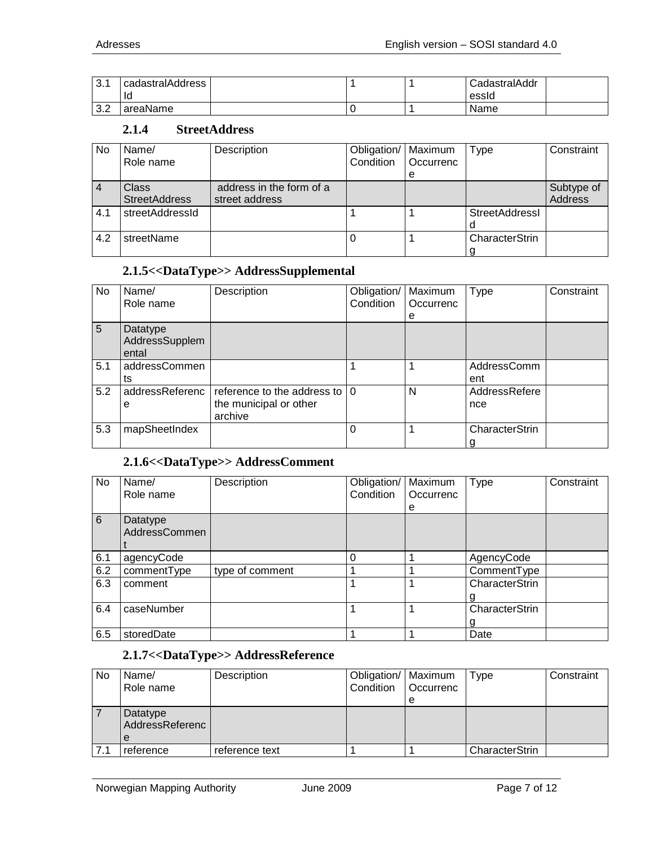| $\Omega$ 1<br>J.I | cadastralAddress<br>Id |  | CadastralAddr<br>essid |  |
|-------------------|------------------------|--|------------------------|--|
| ാ റ<br>ے.د        | areaName               |  | Name                   |  |

#### **2.1.4 StreetAddress**

<span id="page-6-0"></span>

| No             | Name/                | Description              | Obligation/ | Maximum   | Type                  | Constraint |
|----------------|----------------------|--------------------------|-------------|-----------|-----------------------|------------|
|                | Role name            |                          | Condition   | Occurrenc |                       |            |
|                |                      |                          |             | e         |                       |            |
| $\overline{4}$ | <b>Class</b>         | address in the form of a |             |           |                       | Subtype of |
|                | <b>StreetAddress</b> | street address           |             |           |                       | Address    |
| 4.1            | streetAddressId      |                          |             |           | <b>StreetAddressl</b> |            |
|                |                      |                          |             |           |                       |            |
| 4.2            | streetName           |                          |             |           | CharacterStrin        |            |
|                |                      |                          |             |           |                       |            |

#### **2.1.5<<DataType>> AddressSupplemental**

<span id="page-6-1"></span>

| No  | Name/<br>Role name                  | Description                                                                  | Obligation/<br>Condition | Maximum<br>Occurrenc<br>e | Type                 | Constraint |
|-----|-------------------------------------|------------------------------------------------------------------------------|--------------------------|---------------------------|----------------------|------------|
| 5   | Datatype<br>AddressSupplem<br>ental |                                                                              |                          |                           |                      |            |
| 5.1 | addressCommen<br>ts                 |                                                                              |                          |                           | AddressComm<br>ent   |            |
| 5.2 | addressReferenc<br>е                | reference to the address to $ 0\rangle$<br>the municipal or other<br>archive |                          | N                         | AddressRefere<br>nce |            |
| 5.3 | mapSheetIndex                       |                                                                              | 0                        |                           | CharacterStrin<br>g  |            |

## **2.1.6<<DataType>> AddressComment**

<span id="page-6-2"></span>

| No              | Name/                     | Description     | Obligation/ | Maximum   | Type           | Constraint |
|-----------------|---------------------------|-----------------|-------------|-----------|----------------|------------|
|                 | Role name                 |                 | Condition   | Occurrenc |                |            |
|                 |                           |                 |             | е         |                |            |
| $6\overline{6}$ | Datatype<br>AddressCommen |                 |             |           |                |            |
|                 |                           |                 |             |           |                |            |
| 6.1             | agencyCode                |                 |             |           | AgencyCode     |            |
| 6.2             | commentType               | type of comment |             |           | CommentType    |            |
| 6.3             | comment                   |                 |             |           | CharacterStrin |            |
|                 |                           |                 |             |           |                |            |
| 6.4             | caseNumber                |                 |             |           | CharacterStrin |            |
|                 |                           |                 |             |           | g              |            |
| 6.5             | storedDate                |                 |             |           | Date           |            |

## **2.1.7<<DataType>> AddressReference**

<span id="page-6-3"></span>

| No  | Name/<br>Role name               | Description    | Obligation/   Maximum<br>Condition | <b>Occurrenc</b><br>e | Type           | Constraint |
|-----|----------------------------------|----------------|------------------------------------|-----------------------|----------------|------------|
|     | Datatype<br>AddressReferenc<br>e |                |                                    |                       |                |            |
| 7.1 | reference                        | reference text |                                    |                       | CharacterStrin |            |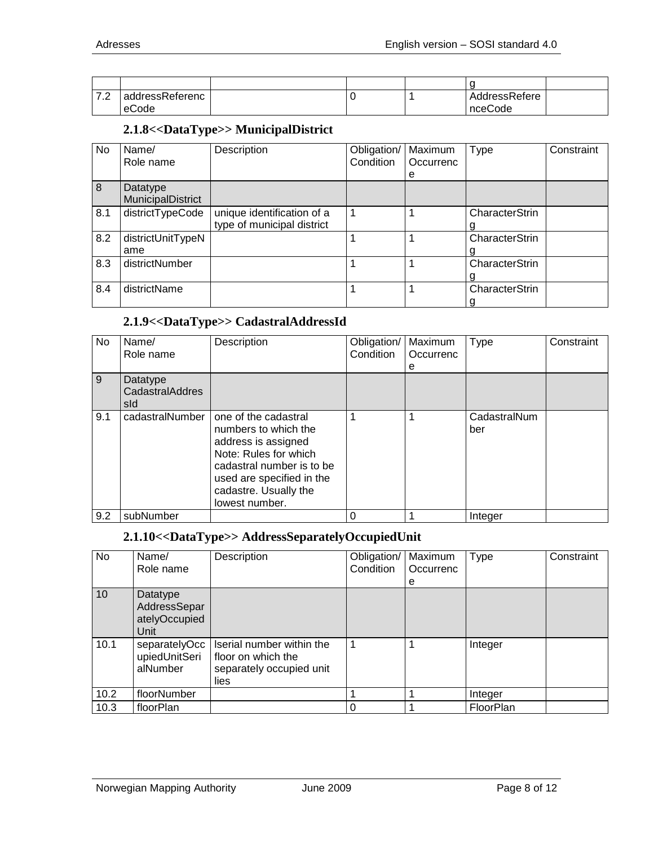| $\overline{\phantom{0}}$<br>. <u>. .</u> | addressReferenc |  | AddressRefere |  |
|------------------------------------------|-----------------|--|---------------|--|
|                                          | eCode           |  | nceCode       |  |

#### **2.1.8<<DataType>> MunicipalDistrict**

<span id="page-7-0"></span>

| No  | Name/             | Description                | Obligation/ | Maximum   | <b>Type</b>    | Constraint |
|-----|-------------------|----------------------------|-------------|-----------|----------------|------------|
|     | Role name         |                            | Condition   | Occurrenc |                |            |
|     |                   |                            |             | е         |                |            |
| 8   | Datatype          |                            |             |           |                |            |
|     | MunicipalDistrict |                            |             |           |                |            |
| 8.1 | districtTypeCode  | unique identification of a |             |           | CharacterStrin |            |
|     |                   | type of municipal district |             |           |                |            |
| 8.2 | districtUnitTypeN |                            |             |           | CharacterStrin |            |
|     | ame               |                            |             |           |                |            |
| 8.3 | districtNumber    |                            |             |           | CharacterStrin |            |
|     |                   |                            |             |           |                |            |
| 8.4 | districtName      |                            |             |           | CharacterStrin |            |
|     |                   |                            |             |           |                |            |

### **2.1.9<<DataType>> CadastralAddressId**

<span id="page-7-1"></span>

| No  | Name/<br>Role name                 | Description                                                                                                                                                                                       | Obligation/<br>Condition | Maximum<br>Occurrenc<br>е | <b>Type</b>         | Constraint |
|-----|------------------------------------|---------------------------------------------------------------------------------------------------------------------------------------------------------------------------------------------------|--------------------------|---------------------------|---------------------|------------|
| 9   | Datatype<br>CadastralAddres<br>sld |                                                                                                                                                                                                   |                          |                           |                     |            |
| 9.1 | cadastralNumber                    | one of the cadastral<br>numbers to which the<br>address is assigned<br>Note: Rules for which<br>cadastral number is to be<br>used are specified in the<br>cadastre. Usually the<br>lowest number. |                          |                           | CadastralNum<br>ber |            |
| 9.2 | subNumber                          |                                                                                                                                                                                                   |                          |                           | Integer             |            |

## **2.1.10<<DataType>> AddressSeparatelyOccupiedUnit**

<span id="page-7-2"></span>

| No   | Name/<br>Role name                                | Description                                                                         | Obligation/<br>Condition | Maximum<br>Occurrenc<br>е | <b>Type</b> | Constraint |
|------|---------------------------------------------------|-------------------------------------------------------------------------------------|--------------------------|---------------------------|-------------|------------|
| 10   | Datatype<br>AddressSepar<br>atelyOccupied<br>Unit |                                                                                     |                          |                           |             |            |
| 10.1 | separatelyOcc<br>upiedUnitSeri<br>alNumber        | Iserial number within the<br>floor on which the<br>separately occupied unit<br>lies |                          |                           | Integer     |            |
| 10.2 | floorNumber                                       |                                                                                     |                          |                           | Integer     |            |
| 10.3 | floorPlan                                         |                                                                                     | 0                        |                           | FloorPlan   |            |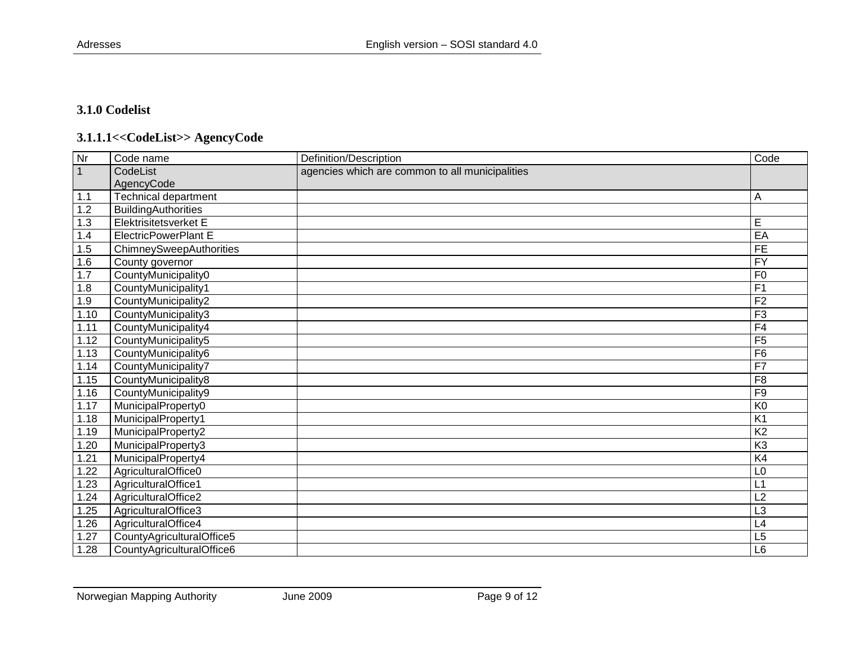#### **3.1.0 Codelist**

# **3.1.1.1<<CodeList>> AgencyCode**

<span id="page-8-1"></span><span id="page-8-0"></span>

| $\overline{\mathsf{Nr}}$ | Code name                   | Definition/Description                          | Code            |
|--------------------------|-----------------------------|-------------------------------------------------|-----------------|
|                          | CodeList                    | agencies which are common to all municipalities |                 |
|                          | AgencyCode                  |                                                 |                 |
| 1.1                      | Technical department        |                                                 | Α               |
| 1.2                      | <b>BuildingAuthorities</b>  |                                                 |                 |
| 1.3                      | Elektrisitetsverket E       |                                                 | E               |
| 1.4                      | <b>ElectricPowerPlant E</b> |                                                 | EA              |
| 1.5                      | ChimneySweepAuthorities     |                                                 | $\overline{FE}$ |
| 1.6                      | County governor             |                                                 | $\overline{FY}$ |
| 1.7                      | CountyMunicipality0         |                                                 | F <sub>0</sub>  |
| 1.8                      | CountyMunicipality1         |                                                 | F <sub>1</sub>  |
| 1.9                      | CountyMunicipality2         |                                                 | F <sub>2</sub>  |
| 1.10                     | CountyMunicipality3         |                                                 | F3              |
| 1.11                     | CountyMunicipality4         |                                                 | F4              |
| 1.12                     | CountyMunicipality5         |                                                 | F <sub>5</sub>  |
| 1.13                     | CountyMunicipality6         |                                                 | F6              |
| 1.14                     | CountyMunicipality7         |                                                 | F7              |
| 1.15                     | CountyMunicipality8         |                                                 | F <sub>8</sub>  |
| 1.16                     | CountyMunicipality9         |                                                 | F9              |
| 1.17                     | MunicipalProperty0          |                                                 | K <sub>0</sub>  |
| 1.18                     | MunicipalProperty1          |                                                 | K <sub>1</sub>  |
| 1.19                     | MunicipalProperty2          |                                                 | K <sub>2</sub>  |
| 1.20                     | MunicipalProperty3          |                                                 | K <sub>3</sub>  |
| 1.21                     | MunicipalProperty4          |                                                 | K4              |
| 1.22                     | AgriculturalOffice0         |                                                 | L <sub>0</sub>  |
| 1.23                     | AgriculturalOffice1         |                                                 | L1              |
| 1.24                     | AgriculturalOffice2         |                                                 | L2              |
| 1.25                     | AgriculturalOffice3         |                                                 | L <sub>3</sub>  |
| 1.26                     | AgriculturalOffice4         |                                                 | L4              |
| 1.27                     | CountyAgriculturalOffice5   |                                                 | $\overline{L5}$ |
| 1.28                     | CountyAgriculturalOffice6   |                                                 | L <sub>6</sub>  |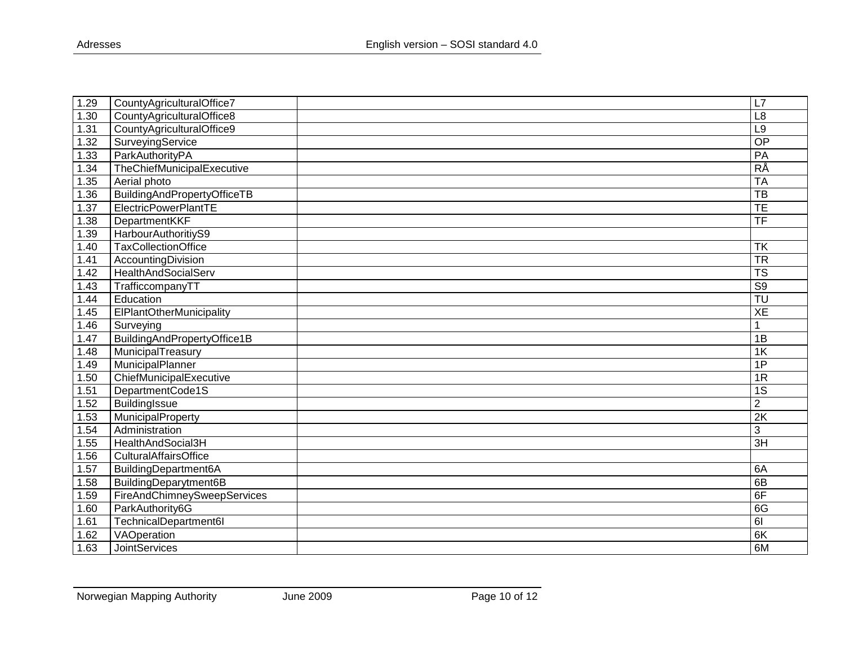| 1.29 | CountyAgriculturalOffice7   | L7                                |
|------|-----------------------------|-----------------------------------|
| 1.30 | CountyAgriculturalOffice8   | L8                                |
| 1.31 | CountyAgriculturalOffice9   | L <sub>9</sub>                    |
| 1.32 | SurveyingService            | $\overline{OP}$                   |
| 1.33 | ParkAuthorityPA             | PA                                |
| 1.34 | TheChiefMunicipalExecutive  | <b>RÅ</b>                         |
| 1.35 | Aerial photo                | <b>TA</b>                         |
| 1.36 | BuildingAndPropertyOfficeTB | $\overline{\text{TB}}$            |
| 1.37 | ElectricPowerPlantTE        | $\overline{\mathsf{TE}}$          |
| 1.38 | DepartmentKKF               | TF                                |
| 1.39 | HarbourAuthoritiyS9         |                                   |
| 1.40 | <b>TaxCollectionOffice</b>  | <b>TK</b>                         |
| 1.41 | AccountingDivision          | <b>TR</b>                         |
| 1.42 | HealthAndSocialServ         | $\overline{\text{TS}}$            |
| 1.43 | TrafficcompanyTT            | S <sub>9</sub>                    |
| 1.44 | Education                   | $\overline{\mathsf{T}}\mathsf{U}$ |
| 1.45 | ElPlantOtherMunicipality    | XE                                |
| 1.46 | Surveying                   | 1                                 |
| 1.47 | BuildingAndPropertyOffice1B | 1B                                |
| 1.48 | MunicipalTreasury           | 1K                                |
| 1.49 | MunicipalPlanner            | 1P                                |
| 1.50 | ChiefMunicipalExecutive     | 1R                                |
| 1.51 | DepartmentCode1S            | 1S                                |
| 1.52 | <b>BuildingIssue</b>        | $\overline{2}$                    |
| 1.53 | MunicipalProperty           | $\overline{2K}$                   |
| 1.54 | Administration              | 3                                 |
| 1.55 | HealthAndSocial3H           | $\overline{3H}$                   |
| 1.56 | CulturalAffairsOffice       |                                   |
| 1.57 | BuildingDepartment6A        | 6A                                |
| 1.58 | BuildingDeparytment6B       | 6B                                |
| 1.59 | FireAndChimneySweepServices | 6F                                |
| 1.60 | ParkAuthority6G             | 6G                                |
| 1.61 | TechnicalDepartment6I       | $\overline{6}$                    |
| 1.62 | VAOperation                 | 6K                                |
| 1.63 | <b>JointServices</b>        | 6M                                |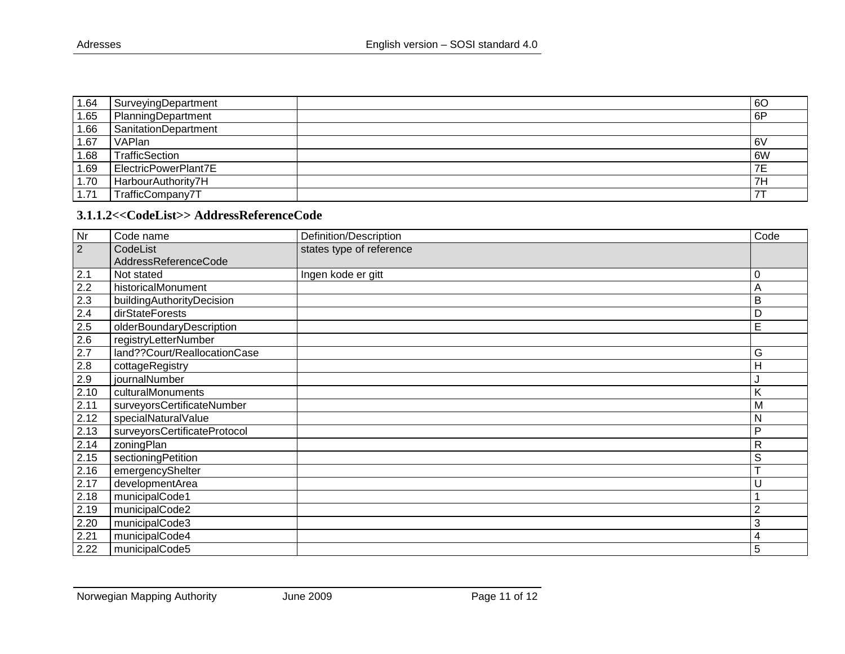| 1.64 | SurveyingDepartment  | 60 |
|------|----------------------|----|
| 1.65 | PlanningDepartment   | 6P |
| 1.66 | SanitationDepartment |    |
| 1.67 | VAPlan               | 6V |
| 1.68 | TrafficSection       | 6W |
| 1.69 | ElectricPowerPlant7E | 7E |
| 1.70 | HarbourAuthority7H   | 7H |
| 1.71 | TrafficCompany7T     |    |

#### **3.1.1.2<<CodeList>> AddressReferenceCode**

<span id="page-10-0"></span>

| Nr             | Code name                    | Definition/Description   | Code           |
|----------------|------------------------------|--------------------------|----------------|
| $\overline{2}$ | CodeList                     | states type of reference |                |
|                | AddressReferenceCode         |                          |                |
| 2.1            | Not stated                   | Ingen kode er gitt       | 0              |
| 2.2            | historicalMonument           |                          | A              |
| 2.3            | buildingAuthorityDecision    |                          | B              |
| 2.4            | dirStateForests              |                          | D              |
| 2.5            | olderBoundaryDescription     |                          | E              |
| 2.6            | registryLetterNumber         |                          |                |
| 2.7            | land??Court/ReallocationCase |                          | G              |
| 2.8            | cottageRegistry              |                          | H              |
| 2.9            | journalNumber                |                          |                |
| 2.10           | culturalMonuments            |                          | K              |
| 2.11           | surveyorsCertificateNumber   |                          | M              |
| 2.12           | specialNaturalValue          |                          | N              |
| 2.13           | surveyorsCertificateProtocol |                          | $\mathsf{P}$   |
| 2.14           | zoningPlan                   |                          | $\mathsf{R}$   |
| 2.15           | sectioningPetition           |                          | S              |
| 2.16           | emergencyShelter             |                          | ÷              |
| 2.17           | developmentArea              |                          | U              |
| 2.18           | municipalCode1               |                          |                |
| 2.19           | municipalCode2               |                          | $\overline{2}$ |
| 2.20           | municipalCode3               |                          | 3              |
| 2.21           | municipalCode4               |                          | 4              |
| 2.22           | municipalCode5               |                          | 5              |